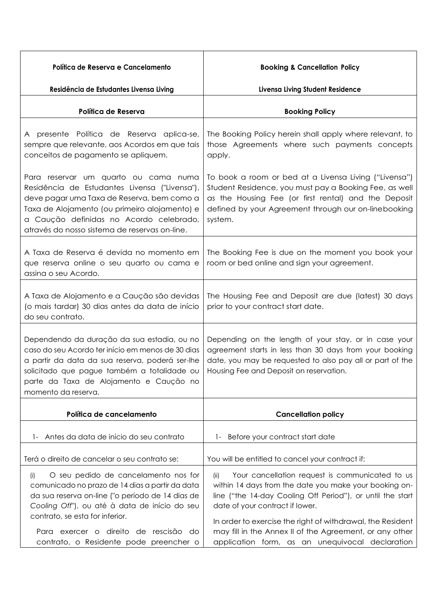| Política de Reserva e Cancelamento<br>Residência de Estudantes Livensa Living                                                                                                                                                                                                                                  | <b>Booking &amp; Cancellation Policy</b><br>Livensa Living Student Residence                                                                                                                                                                                                     |
|----------------------------------------------------------------------------------------------------------------------------------------------------------------------------------------------------------------------------------------------------------------------------------------------------------------|----------------------------------------------------------------------------------------------------------------------------------------------------------------------------------------------------------------------------------------------------------------------------------|
| Política de Reserva                                                                                                                                                                                                                                                                                            | <b>Booking Policy</b>                                                                                                                                                                                                                                                            |
| A presente Política de Reserva aplica-se,<br>sempre que relevante, aos Acordos em que tais<br>conceitos de pagamento se apliquem.                                                                                                                                                                              | The Booking Policy herein shall apply where relevant, to<br>those Agreements where such payments concepts<br>apply.                                                                                                                                                              |
| Para reservar um quarto ou cama numa<br>Residência de Estudantes Livensa ("Livensa"),<br>deve pagar uma Taxa de Reserva, bem como a<br>Taxa de Alojamento (ou primeiro alojamento) e<br>a Caução definidas no Acordo celebrado,<br>através do nosso sistema de reservas on-line.                               | To book a room or bed at a Livensa Living ("Livensa")<br>Student Residence, you must pay a Booking Fee, as well<br>as the Housing Fee (or first rental) and the Deposit<br>defined by your Agreement through our on-linebooking<br>system.                                       |
| A Taxa de Reserva é devida no momento em<br>que reserva online o seu quarto ou cama e<br>assina o seu Acordo.                                                                                                                                                                                                  | The Booking Fee is due on the moment you book your<br>room or bed online and sign your agreement.                                                                                                                                                                                |
| A Taxa de Alojamento e a Caução são devidas<br>(o mais tardar) 30 dias antes da data de início<br>do seu contrato.                                                                                                                                                                                             | The Housing Fee and Deposit are due (latest) 30 days<br>prior to your contract start date.                                                                                                                                                                                       |
| Dependendo da duração da sua estadia, ou no<br>caso do seu Acordo ter início em menos de 30 dias<br>a partir da data da sua reserva, poderá ser-lhe<br>solicitado que pague também a totalidade ou   Housing Fee and Deposit on reservation.<br>parte da Taxa de Alojamento e Caução no<br>momento da reserva. | Depending on the length of your stay, or in case your<br>agreement starts in less than 30 days from your booking<br>date, you may be requested to also pay all or part of the                                                                                                    |
| Política de cancelamento                                                                                                                                                                                                                                                                                       | <b>Cancellation policy</b>                                                                                                                                                                                                                                                       |
| Antes da data de início do seu contrato                                                                                                                                                                                                                                                                        | 1- Before your contract start date                                                                                                                                                                                                                                               |
| Terá o direito de cancelar o seu contrato se:                                                                                                                                                                                                                                                                  | You will be entitled to cancel your contract if:                                                                                                                                                                                                                                 |
| O seu pedido de cancelamento nos for<br>(i)<br>comunicado no prazo de 14 dias a partir da data<br>da sua reserva on-line ("o período de 14 dias de<br>Cooling Off"), ou até à data de início do seu<br>contrato, se esta for inferior.                                                                         | Your cancellation request is communicated to us<br>(ii)<br>within 14 days from the date you make your booking on-<br>line ("the 14-day Cooling Off Period"), or until the start<br>date of your contract if lower.<br>In order to exercise the right of withdrawal, the Resident |
| Para exercer o direito de rescisão do<br>contrato, o Residente pode preencher o                                                                                                                                                                                                                                | may fill in the Annex II of the Agreement, or any other<br>application form, as an unequivocal declaration                                                                                                                                                                       |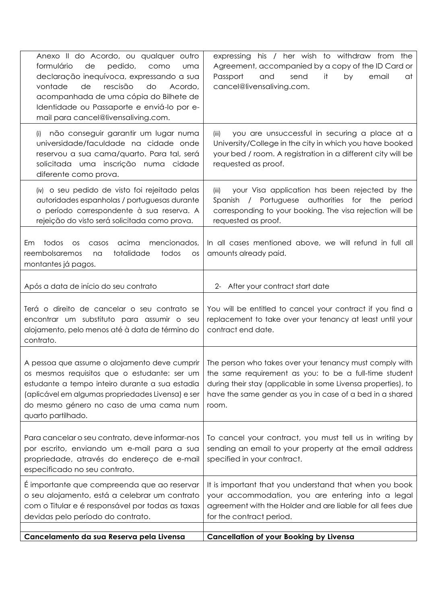| Anexo II do Acordo, ou qualquer outro<br>formulário<br>de<br>pedido,<br>como<br>uma<br>declaração inequívoca, expressando a sua<br>vontade<br>rescisão<br>de<br>do<br>Acordo,<br>acompanhada de uma cópia do Bilhete de<br>Identidade ou Passaporte e enviá-lo por e-<br>mail para cancel@livensaliving.com. | expressing his / her wish to withdraw from the<br>Agreement, accompanied by a copy of the ID Card or<br>Passport<br>and<br>send<br>it<br>by<br>at<br>email<br>cancel@livensaliving.com.                                                                 |
|--------------------------------------------------------------------------------------------------------------------------------------------------------------------------------------------------------------------------------------------------------------------------------------------------------------|---------------------------------------------------------------------------------------------------------------------------------------------------------------------------------------------------------------------------------------------------------|
| não conseguir garantir um lugar numa<br>(i)<br>universidade/faculdade na cidade onde<br>reservou a sua cama/quarto. Para tal, será<br>solicitada uma inscrição numa cidade<br>diferente como prova.                                                                                                          | you are unsuccessful in securing a place at a<br>(iii)<br>University/College in the city in which you have booked<br>your bed / room. A registration in a different city will be<br>requested as proof.                                                 |
| (iv) o seu pedido de visto foi rejeitado pelas<br>autoridades espanholas / portuguesas durante<br>o período correspondente à sua reserva. A<br>rejeição do visto será solicitada como prova.                                                                                                                 | your Visa application has been rejected by the<br>(iii)<br>Spanish / Portuguese authorities<br>for the<br>period<br>corresponding to your booking. The visa rejection will be<br>requested as proof.                                                    |
| acima<br>mencionados,<br>todos<br>Em<br><b>OS</b><br>casos<br>totalidade<br>reembolsaremos<br>todos<br>na<br>OS<br>montantes já pagos.                                                                                                                                                                       | In all cases mentioned above, we will refund in full all<br>amounts already paid.                                                                                                                                                                       |
| Após a data de início do seu contrato                                                                                                                                                                                                                                                                        | After your contract start date<br>$2 -$                                                                                                                                                                                                                 |
| Terá o direito de cancelar o seu contrato se<br>encontrar um substituto para assumir o seu<br>alojamento, pelo menos até à data de término do<br>contrato.                                                                                                                                                   | You will be entitled to cancel your contract if you find a<br>replacement to take over your tenancy at least until your<br>contract end date.                                                                                                           |
| A pessoa que assume o alojamento deve cumprir<br>os mesmos requisitos que o estudante: ser um<br>estudante a tempo inteiro durante a sua estadia<br>(aplicável em algumas propriedades Livensa) e ser<br>do mesmo género no caso de uma cama num<br>quarto partilhado.                                       | The person who takes over your tenancy must comply with<br>the same requirement as you: to be a full-time student<br>during their stay (applicable in some Livensa properties), to<br>have the same gender as you in case of a bed in a shared<br>room. |
| Para cancelar o seu contrato, deve informar-nos<br>por escrito, enviando um e-mail para a sua<br>propriedade, através do endereço de e-mail<br>especificado no seu contrato.                                                                                                                                 | To cancel your contract, you must tell us in writing by<br>sending an email to your property at the email address<br>specified in your contract.                                                                                                        |
| É importante que compreenda que ao reservar<br>o seu alojamento, está a celebrar um contrato<br>com o Titular e é responsável por todas as taxas<br>devidas pelo período do contrato.                                                                                                                        | It is important that you understand that when you book<br>your accommodation, you are entering into a legal<br>agreement with the Holder and are liable for all fees due<br>for the contract period.                                                    |
| Cancelamento da sua Reserva pela Livensa                                                                                                                                                                                                                                                                     | <b>Cancellation of your Booking by Livensa</b>                                                                                                                                                                                                          |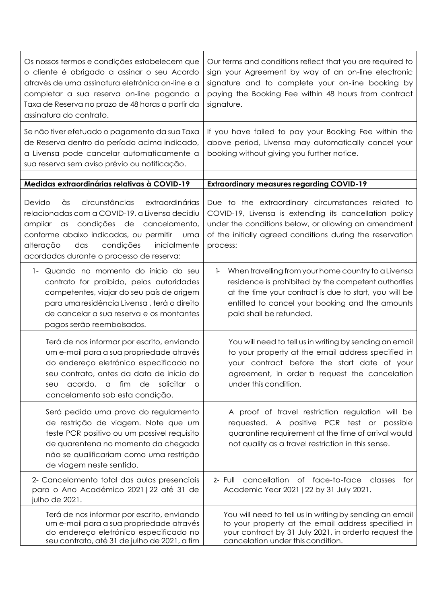| Os nossos termos e condições estabelecem que<br>o cliente é obrigado a assinar o seu Acordo<br>através de uma assinatura eletrónica on-line e a<br>completar a sua reserva on-line pagando a<br>Taxa de Reserva no prazo de 48 horas a partir da<br>assinatura do contrato. | Our terms and conditions reflect that you are required to<br>sign your Agreement by way of an on-line electronic<br>signature and to complete your on-line booking by<br>paying the Booking Fee within 48 hours from contract<br>signature.               |
|-----------------------------------------------------------------------------------------------------------------------------------------------------------------------------------------------------------------------------------------------------------------------------|-----------------------------------------------------------------------------------------------------------------------------------------------------------------------------------------------------------------------------------------------------------|
| Se não tiver efetuado o pagamento da sua Taxa<br>de Reserva dentro do período acima indicado,<br>a Livensa pode cancelar automaticamente a<br>sua reserva sem aviso prévio ou notificação.                                                                                  | If you have failed to pay your Booking Fee within the<br>above period, Livensa may automatically cancel your<br>booking without giving you further notice.                                                                                                |
| Medidas extraordinárias relativas à COVID-19                                                                                                                                                                                                                                | <b>Extraordinary measures regarding COVID-19</b>                                                                                                                                                                                                          |
| circunstâncias<br>Devido<br>às<br>extraordinárias                                                                                                                                                                                                                           | Due to the extraordinary circumstances related to                                                                                                                                                                                                         |
| relacionadas com a COVID-19, a Livensa decidiu<br>ampliar<br>condições de cancelamento,<br>$\alpha$ s<br>conforme abaixo indicadas, ou permitir<br>uma<br>alteração<br>das<br>condições<br>inicialmente<br>acordadas durante o processo de reserva:                         | COVID-19, Livensa is extending its cancellation policy<br>under the conditions below, or allowing an amendment<br>of the initially agreed conditions during the reservation<br>process:                                                                   |
| Quando no momento do início do seu<br>$1 -$<br>contrato for proibido, pelas autoridades<br>competentes, viajar do seu país de origem<br>para uma residência Livensa, terá o direito<br>de cancelar a sua reserva e os montantes<br>pagos serão reembolsados.                | When travelling from your home country to a Livensa<br>ŀ.<br>residence is prohibited by the competent authorities<br>at the time your contract is due to start, you will be<br>entitled to cancel your booking and the amounts<br>paid shall be refunded. |
| Terá de nos informar por escrito, enviando<br>um e-mail para a sua propriedade através<br>do endereço eletrónico especificado no<br>seu contrato, antes da data de início do<br>acordo,<br>fim<br>solicitar<br>de<br>a<br>seu<br>$\circ$<br>cancelamento sob esta condição. | You will need to tell us in writing by sending an email<br>to your property at the email address specified in<br>your contract before the start date of your<br>agreement, in order b request the cancelation<br>under this condition.                    |
| Será pedida uma prova do regulamento<br>de restrição de viagem. Note que um<br>teste PCR positivo ou um possível requisito<br>de quarentena no momento da chegada<br>não se qualificariam como uma restrição<br>de viagem neste sentido.                                    | A proof of travel restriction regulation will be<br>requested. A positive PCR test or possible<br>quarantine requirement at the time of arrival would<br>not qualify as a travel restriction in this sense.                                               |
| 2- Cancelamento total das aulas presenciais<br>para o Ano Académico 2021   22 até 31 de<br>julho de 2021.                                                                                                                                                                   | cancellation of face-to-face classes<br>$2 -$ Full<br>tor<br>Academic Year 2021   22 by 31 July 2021.                                                                                                                                                     |
| Terá de nos informar por escrito, enviando<br>um e-mail para a sua propriedade através<br>do endereço eletrónico especificado no<br>seu contrato, até 31 de julho de 2021, a fim                                                                                            | You will need to tell us in writing by sending an email<br>to your property at the email address specified in<br>your contract by 31 July 2021, in orderto request the<br>cancelation under this condition.                                               |